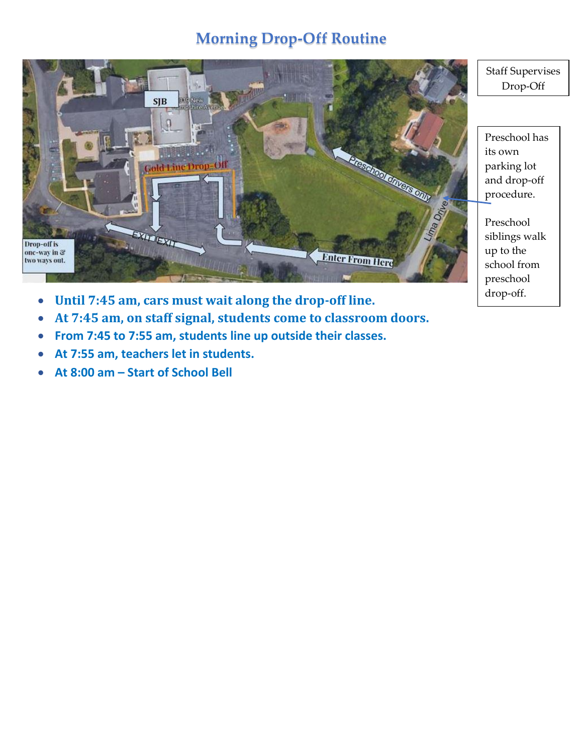## **Morning Drop-Off Routine**



- **Until 7:45 am, cars must wait along the drop-off line.**
- **At 7:45 am, on staff signal, students come to classroom doors.**
- **From 7:45 to 7:55 am, students line up outside their classes.**
- **At 7:55 am, teachers let in students.**
- **At 8:00 am – Start of School Bell**

Staff Supervises Drop-Off

Preschool has its own parking lot and drop-off procedure.

Preschool siblings walk up to the school from preschool drop-off.